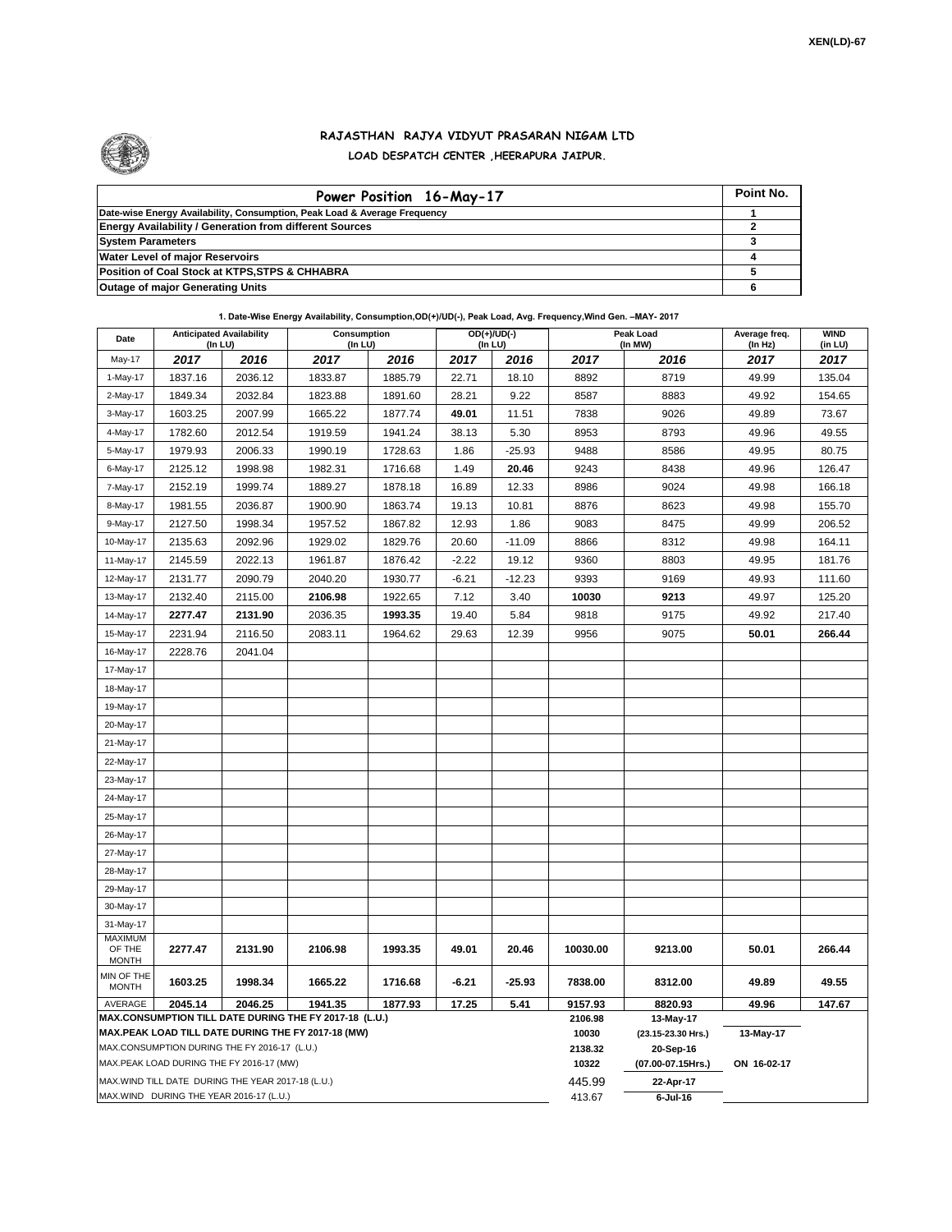

## **RAJASTHAN RAJYA VIDYUT PRASARAN NIGAM LTD LOAD DESPATCH CENTER ,HEERAPURA JAIPUR.**

| Power Position 16-May-17                                                  | Point No. |
|---------------------------------------------------------------------------|-----------|
| Date-wise Energy Availability, Consumption, Peak Load & Average Frequency |           |
| <b>Energy Availability / Generation from different Sources</b>            |           |
| <b>System Parameters</b>                                                  |           |
| <b>Water Level of major Reservoirs</b>                                    |           |
| Position of Coal Stock at KTPS, STPS & CHHABRA                            |           |
| <b>Outage of major Generating Units</b>                                   |           |

**1. Date-Wise Energy Availability, Consumption,OD(+)/UD(-), Peak Load, Avg. Frequency,Wind Gen. –MAY- 2017**

| Date                                                                                                         | <b>Anticipated Availability</b><br>(In LU) |         | Consumption<br>(In LU) |         |         | OD(+)/UD(-)<br>(In LU) |                  | Peak Load<br>(In MW)            | Average freq.<br>(In Hz) | <b>WIND</b><br>(in LU) |  |  |
|--------------------------------------------------------------------------------------------------------------|--------------------------------------------|---------|------------------------|---------|---------|------------------------|------------------|---------------------------------|--------------------------|------------------------|--|--|
| May-17                                                                                                       | 2017                                       | 2016    | 2017                   | 2016    | 2017    | 2016                   | 2017             | 2016                            | 2017                     | 2017                   |  |  |
| 1-May-17                                                                                                     | 1837.16                                    | 2036.12 | 1833.87                | 1885.79 | 22.71   | 18.10                  | 8892             | 8719                            | 49.99                    | 135.04                 |  |  |
| 2-May-17                                                                                                     | 1849.34                                    | 2032.84 | 1823.88                | 1891.60 | 28.21   | 9.22                   | 8587             | 8883                            | 49.92                    | 154.65                 |  |  |
| 3-May-17                                                                                                     | 1603.25                                    | 2007.99 | 1665.22                | 1877.74 | 49.01   | 11.51                  | 7838             | 9026                            | 49.89                    | 73.67                  |  |  |
| 4-May-17                                                                                                     | 1782.60                                    | 2012.54 | 1919.59                | 1941.24 | 38.13   | 5.30                   | 8953             | 8793                            | 49.96                    | 49.55                  |  |  |
| 5-May-17                                                                                                     | 1979.93                                    | 2006.33 | 1990.19                | 1728.63 | 1.86    | $-25.93$               | 9488             | 8586                            | 49.95                    | 80.75                  |  |  |
| 6-May-17                                                                                                     | 2125.12                                    | 1998.98 | 1982.31                | 1716.68 | 1.49    | 20.46                  | 9243             | 8438                            | 49.96                    | 126.47                 |  |  |
| 7-May-17                                                                                                     | 2152.19                                    | 1999.74 | 1889.27                | 1878.18 | 16.89   | 12.33                  | 8986             | 9024                            | 49.98                    | 166.18                 |  |  |
| 8-May-17                                                                                                     | 1981.55                                    | 2036.87 | 1900.90                | 1863.74 | 19.13   | 10.81                  | 8876             | 8623                            | 49.98                    | 155.70                 |  |  |
| 9-May-17                                                                                                     | 2127.50                                    | 1998.34 | 1957.52                | 1867.82 | 12.93   | 1.86                   | 9083             | 8475                            | 49.99                    | 206.52                 |  |  |
| 10-May-17                                                                                                    | 2135.63                                    | 2092.96 | 1929.02                | 1829.76 | 20.60   | $-11.09$               | 8866             | 8312                            | 49.98                    | 164.11                 |  |  |
| 11-May-17                                                                                                    | 2145.59                                    | 2022.13 | 1961.87                | 1876.42 | $-2.22$ | 19.12                  | 9360             | 8803                            | 49.95                    | 181.76                 |  |  |
| 12-May-17                                                                                                    | 2131.77                                    | 2090.79 | 2040.20                | 1930.77 | $-6.21$ | $-12.23$               | 9393             | 9169                            | 49.93                    | 111.60                 |  |  |
| 13-May-17                                                                                                    | 2132.40                                    | 2115.00 | 2106.98                | 1922.65 | 7.12    | 3.40                   | 10030            | 9213                            | 49.97                    | 125.20                 |  |  |
| 14-May-17                                                                                                    | 2277.47                                    | 2131.90 | 2036.35                | 1993.35 | 19.40   | 5.84                   | 9818             | 9175                            | 49.92                    | 217.40                 |  |  |
| 15-May-17                                                                                                    | 2231.94                                    | 2116.50 | 2083.11                | 1964.62 | 29.63   | 12.39                  | 9956             | 9075                            | 50.01                    | 266.44                 |  |  |
| 16-May-17                                                                                                    | 2228.76                                    | 2041.04 |                        |         |         |                        |                  |                                 |                          |                        |  |  |
| 17-May-17                                                                                                    |                                            |         |                        |         |         |                        |                  |                                 |                          |                        |  |  |
| 18-May-17                                                                                                    |                                            |         |                        |         |         |                        |                  |                                 |                          |                        |  |  |
| 19-May-17                                                                                                    |                                            |         |                        |         |         |                        |                  |                                 |                          |                        |  |  |
| 20-May-17                                                                                                    |                                            |         |                        |         |         |                        |                  |                                 |                          |                        |  |  |
| 21-May-17                                                                                                    |                                            |         |                        |         |         |                        |                  |                                 |                          |                        |  |  |
| 22-May-17                                                                                                    |                                            |         |                        |         |         |                        |                  |                                 |                          |                        |  |  |
| 23-May-17                                                                                                    |                                            |         |                        |         |         |                        |                  |                                 |                          |                        |  |  |
| 24-May-17                                                                                                    |                                            |         |                        |         |         |                        |                  |                                 |                          |                        |  |  |
| 25-May-17                                                                                                    |                                            |         |                        |         |         |                        |                  |                                 |                          |                        |  |  |
| 26-May-17                                                                                                    |                                            |         |                        |         |         |                        |                  |                                 |                          |                        |  |  |
| 27-May-17                                                                                                    |                                            |         |                        |         |         |                        |                  |                                 |                          |                        |  |  |
| 28-May-17                                                                                                    |                                            |         |                        |         |         |                        |                  |                                 |                          |                        |  |  |
| 29-May-17                                                                                                    |                                            |         |                        |         |         |                        |                  |                                 |                          |                        |  |  |
| 30-May-17                                                                                                    |                                            |         |                        |         |         |                        |                  |                                 |                          |                        |  |  |
| 31-May-17                                                                                                    |                                            |         |                        |         |         |                        |                  |                                 |                          |                        |  |  |
| <b>MAXIMUM</b><br>OF THE                                                                                     | 2277.47                                    | 2131.90 | 2106.98                | 1993.35 | 49.01   | 20.46                  | 10030.00         | 9213.00                         | 50.01                    | 266.44                 |  |  |
| <b>MONTH</b>                                                                                                 |                                            |         |                        |         |         |                        |                  |                                 |                          |                        |  |  |
| MIN OF THE<br><b>MONTH</b>                                                                                   | 1603.25                                    | 1998.34 | 1665.22                | 1716.68 | $-6.21$ | $-25.93$               | 7838.00          | 8312.00                         | 49.89                    | 49.55                  |  |  |
| AVERAGE                                                                                                      | 2045.14                                    | 2046.25 | 1941.35                | 1877.93 | 17.25   | 5.41                   | 9157.93          | 8820.93                         | 49.96                    | 147.67                 |  |  |
| MAX.CONSUMPTION TILL DATE DURING THE FY 2017-18 (L.U.)<br>MAX.PEAK LOAD TILL DATE DURING THE FY 2017-18 (MW) |                                            |         |                        |         |         |                        | 2106.98<br>10030 | 13-May-17<br>(23.15-23.30 Hrs.) | 13-May-17                |                        |  |  |
| MAX.CONSUMPTION DURING THE FY 2016-17 (L.U.)                                                                 |                                            |         |                        |         |         |                        |                  | 20-Sep-16                       |                          |                        |  |  |
| MAX.PEAK LOAD DURING THE FY 2016-17 (MW)                                                                     |                                            |         |                        |         |         |                        |                  | (07.00-07.15Hrs.)               | ON 16-02-17              |                        |  |  |
| MAX. WIND TILL DATE DURING THE YEAR 2017-18 (L.U.)                                                           |                                            |         |                        |         |         |                        | 445.99           | 22-Apr-17                       |                          |                        |  |  |
| MAX.WIND DURING THE YEAR 2016-17 (L.U.)                                                                      |                                            |         |                        |         |         |                        |                  | $6$ -Jul-16                     |                          |                        |  |  |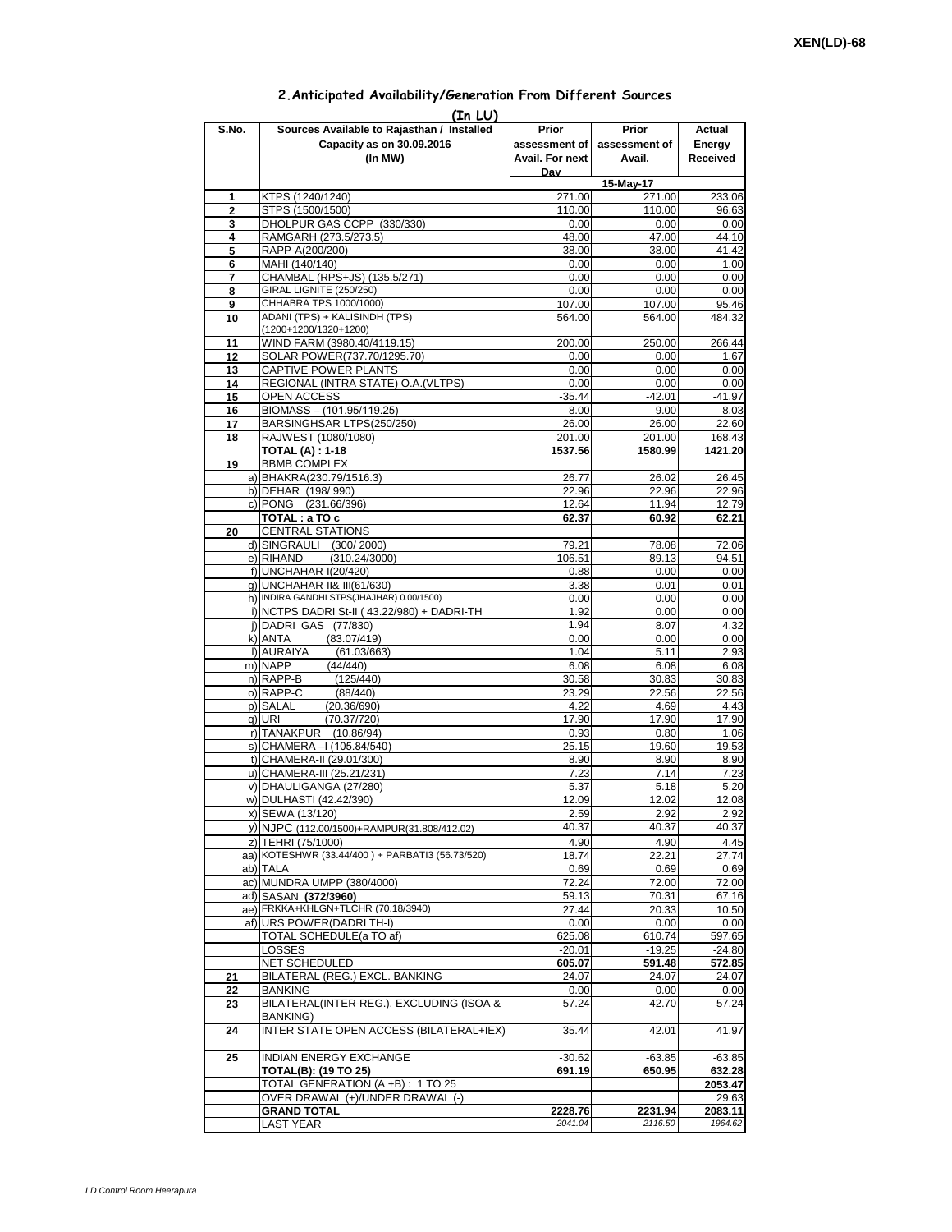## **Prior assessment of Avail. For next Day Prior assessment of Avail. Actual Energy Received 1** KTPS (1240/1240) 271.00 271.00 233.06 **2** STPS (1500/1500) 110.00 110.00 96.63 **3** DHOLPUR GAS CCPP (330/330) 0.00 0.00 0.00 0.00<br>**4** RAMGARH (273.5/273.5) 48.00 47.00 44.10 **4** RAMGARH (273.5/273.5)<br>**5** RAPP-A(200/200) **5** RAPP-A(200/200) 38.00 38.00 41.42 **6** MAHI (140/140) 0.00 7 CHAMBAL (RPS+JS) (135.5/271) 0.00 0.00 0.00 0.00<br>
8 GIRAL LIGNITE (250/250) 0.00 0.00 0.00 0.00 **8** GIRAL LIGNITE (250/250) 0.00 **9** CHHABRA TPS 1000/1000) **107.00** 107.00 107.00 95.46 **10** ADANI (TPS) + KALISINDH (TPS) (1200+1200/1320+1200) 564.00 564.00 484.32 11 WIND FARM (3980.40/4119.15) 200.00 250.00 266.44<br>12 SOLAR POWER(737.70/1295.70) 0.00 0.00 1.67 **12** SOLAR POWER(737.70/1295.70) 0.00 0.00 0.00 0.00 1.67 13 CAPTIVE POWER PLANTS 13 0.00 0.00 14 REGIONAL (INTRA STATE) O.A.(VLTPS)  $\begin{array}{|c|c|c|c|c|c|c|c|} \hline 0.000 & 0.000 & 0.000\end{array}$  0.00 15 OPEN ACCESS -35.44 -42.01 -41.97<br>**16** BIOMASS – (101.95/119.25) -3.00 -41.97 **16** BIOMASS – (101.95/119.25) 8.00 8.00 **17** BARSINGHSAR LTPS(250/250) 26.00 26.00 22.60 18 RAJWEST (1080/1080) 201.00 201.00 201.00 168.43<br>TOTAL (A) : 1-18 **1080** 1421.20 **TOTAL (A) : 1-18 19** BBMB COMPLEX a) BHAKRA(230.79/1516.3) 26.77 26.02 26.45 b) DEHAR (198/ 990) 22.96 22.96 22.96 c) PONG (231.66/396) 12.64 11.94 12.79 **TOTAL : a TO c 62.37 60.92 62.21 20** CENTRAL STATIONS d) SINGRAULI (300/2000) 79.21 78.08 72.06<br>e) RIHAND (310.24/3000) 106.51 89.13 94.51 e) RIHAND (310.24/3000) 106.51 89.13 94.51<br>10 1006.51 89.13 94.51 89.13 94.51  $f)$ UNCHAHAR-I(20/420) g) UNCHAHAR-II& III(61/630) **12.12 12.13 13.38** 0.01 0.01 0.01 h) INDIRA GANDHI STPS(JHAJHAR) 0.00/1500)  $\begin{array}{|c|c|c|c|c|c|c|c|c|} \hline \rule{0pt}{12pt} & 0.00 & 0.00 & 0.00 \ \hline \end{array}$ i) NCTPS DADRI St-II (43.22/980) + DADRI-TH 1.92 0.00 0.00 0.00<br>i) DADRI GAS (77/830) 1.94 8.07 4.32 j) DADRI GAS (77/830) 1.94 8.07 4.32 k) ANTA (83.07/419) 0.00 0.00 0.00 0.00 l) AURAIYA (61.03/663) 1.04 5.11 2.93<br>m) NAPP (44/440) 6.08 6.08 6.08 m) NAPP (44/440) 6.08 6.08 6.08 n) RAPP-B (125/440) 30.58 30.83 30.83 o) RAPP-C (88/440) 23.29 22.56 22.56 p) SALAL (20.36/690) 4.22 4.69 4.43<br>q) URI (70.37/720) 17.90 17.90 17.90 17.90  $(70.37/720)$ r) TANAKPUR (10.86/94) 0.93 0.80 1.06 s) CHAMERA –I (105.84/540) 25.15 19.60 19.53 t) CHAMERA-II (29.01/300) 8.90 8.90 8.90 8.90 u) CHAMERA-III (25.21/231) 7.23 7.14 7.23 v) DHAULIGANGA (27/280) 5.37 5.37 5.18 5.20 w) DULHASTI (42.42/390) 12.08 12.09 12.02 12.08 x) SEWA (13/120) 2.59 2.92 2.92 y) NJPC (112.00/1500)+RAMPUR(31.808/412.02) 40.37 40.37 40.37 40.37 40.37 40.37 40.37 40.37 40.37 40.37 40.37 40.37 40.37 40.37 40.37 40.37 40.37 40.37 40.37 40.37 40.37 40.37 40.37 40.37 40.37 40.37 40.37 40.37 40.37 40.3 z) TEHRI (75/1000)  $\begin{array}{|l|l|l|l|}\n\hline\n2&4.90 & 4.90 & 4.45 \\
\hline\n4&4.90 & 4.90 & 4.45\n\end{array}$ aa) KOTESHWR (33.44/400) + PARBATI3 (56.73/520) 18.74 ab) TALA 0.69 0.69 0.69 ac) MUNDRA UMPP (380/4000)<br>ad) SASAN (372/3960) 72.00 73.00 72.00 72.00 72.00 73.10 ad) SASAN (372/3960) ae) FRKKA+KHLGN+TLCHR (70.18/3940) 27.44 20.33 10.50 af) URS POWER(DADRI TH-I) 0.00 0.00 0.00 0.00 0.00 TOTAL SCHEDULE(a TO af) 625.08 625.08 610.74 597.65<br>
LOSSES -20.01 -19.25 -24.80  $\vert$  LOSSES -20.01 -20.01 -20.01 -21.80 NET SCHEDULED **605.07 591.48 572.85 21** BILATERAL (REG.) EXCL. BANKING 24.07 24.07 24.07 **22** BANKING 0.00 0.00 0.00 0.00 **23** BILATERAL(INTER-REG.). EXCLUDING (ISOA & BANKING) 57.24 42.70 57.24 **24 INTER STATE OPEN ACCESS (BILATERAL+IEX) 35.44 42.01 41.97 25** INDIAN ENERGY EXCHANGE  $\begin{array}{|c|c|c|c|c|c|c|c|} \hline & & & & & -30.62 & & & -63.85 & & -63.85 \ \hline \end{array}$ **TOTAL(B): (19 TO 25) 691.19 650.95 632.28** TOTAL GENERATION (A +B) : 1 TO 25 **2053.47** OVER DRAWAL (+)/UNDER DRAWAL (-) 29.63 **GRAND TOTAL 2228.76 2231.94 2083.11** LAST YEAR *2041.04 2116.50 1964.62* **(In LU) S.No. Sources Available to Rajasthan / Installed Capacity as on 30.09.2016 (In MW) 15-May-17**

## **2.Anticipated Availability/Generation From Different Sources**